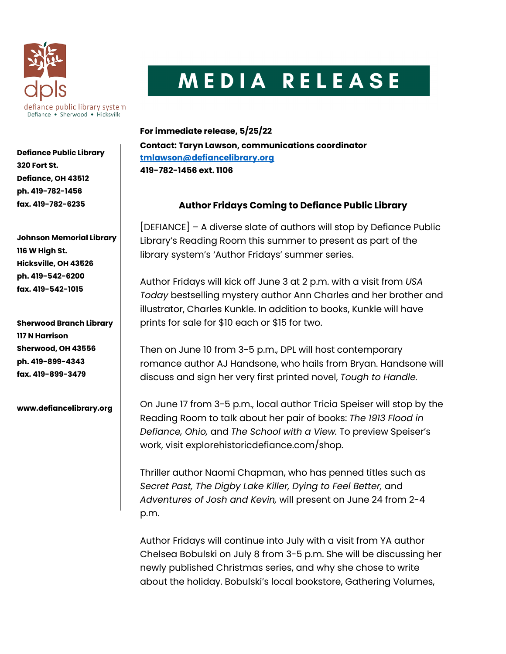

## MEDIA RELEASE

**For immediate release, 5/25/22 Contact: Taryn Lawson, communications coordinator [tmlawson@defiancelibrary.org](mailto:tmlawson@defiancelibrary.org) 419-782-1456 ext. 1106**

## **Author Fridays Coming to Defiance Public Library**

[DEFIANCE] – A diverse slate of authors will stop by Defiance Public Library's Reading Room this summer to present as part of the library system's 'Author Fridays' summer series.

Author Fridays will kick off June 3 at 2 p.m. with a visit from *USA Today* bestselling mystery author Ann Charles and her brother and illustrator, Charles Kunkle. In addition to books, Kunkle will have prints for sale for \$10 each or \$15 for two.

Then on June 10 from 3-5 p.m., DPL will host contemporary romance author AJ Handsone, who hails from Bryan. Handsone will discuss and sign her very first printed novel, *Tough to Handle.*

On June 17 from 3-5 p.m., local author Tricia Speiser will stop by the Reading Room to talk about her pair of books: *The 1913 Flood in Defiance, Ohio,* and *The School with a View.* To preview Speiser's work, visit explorehistoricdefiance.com/shop.

Thriller author Naomi Chapman, who has penned titles such as *Secret Past, The Digby Lake Killer, Dying to Feel Better,* and *Adventures of Josh and Kevin,* will present on June 24 from 2-4 p.m.

Author Fridays will continue into July with a visit from YA author Chelsea Bobulski on July 8 from 3-5 p.m. She will be discussing her newly published Christmas series, and why she chose to write about the holiday. Bobulski's local bookstore, Gathering Volumes,

**Defiance Public Library 320 Fort St. Defiance, OH 43512 ph. 419-782-1456 fax. 419-782-6235**

**Johnson Memorial Library 116 W High St. Hicksville, OH 43526 ph. 419-542-6200 fax. 419-542-1015**

**Sherwood Branch Library 117 N Harrison Sherwood, OH 43556 ph. 419-899-4343 fax. 419-899-3479**

**www.defiancelibrary.org**